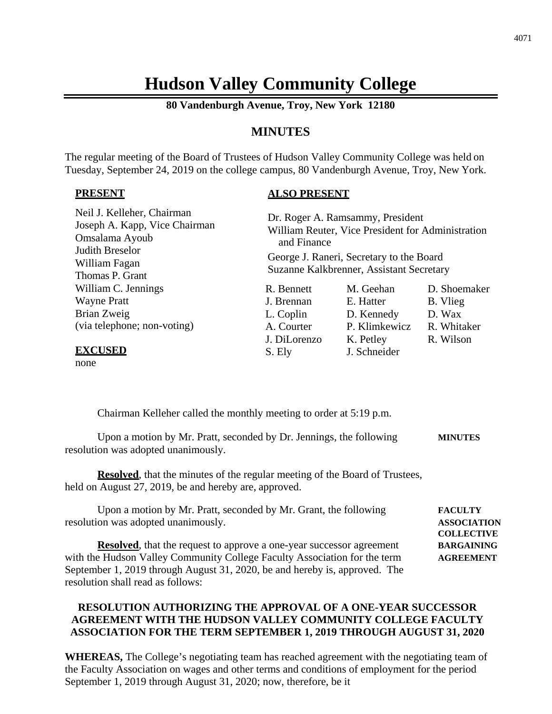# **Hudson Valley Community College**

**80 Vandenburgh Avenue, Troy, New York 12180**

## **MINUTES**

The regular meeting of the Board of Trustees of Hudson Valley Community College was held on Tuesday, September 24, 2019 on the college campus, 80 Vandenburgh Avenue, Troy, New York.

#### **PRESENT**

## **ALSO PRESENT**

| Neil J. Kelleher, Chairman<br>Joseph A. Kapp, Vice Chairman<br>Omsalama Ayoub<br>Judith Breselor<br>William Fagan<br>Thomas P. Grant | Dr. Roger A. Ramsammy, President<br>William Reuter, Vice President for Administration<br>and Finance<br>George J. Raneri, Secretary to the Board<br>Suzanne Kalkbrenner, Assistant Secretary |                           |              |
|--------------------------------------------------------------------------------------------------------------------------------------|----------------------------------------------------------------------------------------------------------------------------------------------------------------------------------------------|---------------------------|--------------|
| William C. Jennings                                                                                                                  | R. Bennett                                                                                                                                                                                   | M. Geehan                 | D. Shoemaker |
| <b>Wayne Pratt</b>                                                                                                                   | J. Brennan                                                                                                                                                                                   | E. Hatter                 | B. Vlieg     |
| Brian Zweig                                                                                                                          | L. Coplin                                                                                                                                                                                    | D. Kennedy                | D. Wax       |
| (via telephone; non-voting)                                                                                                          | A. Courter                                                                                                                                                                                   | P. Klimkewicz             | R. Whitaker  |
|                                                                                                                                      | J. DiLorenzo<br>S. Ely                                                                                                                                                                       | K. Petley<br>J. Schneider | R. Wilson    |

none

Chairman Kelleher called the monthly meeting to order at 5:19 p.m.

Upon a motion by Mr. Pratt, seconded by Dr. Jennings, the following **MINUTES** resolution was adopted unanimously.

**Resolved**, that the minutes of the regular meeting of the Board of Trustees, held on August 27, 2019, be and hereby are, approved.

| Upon a motion by Mr. Pratt, seconded by Mr. Grant, the following             | <b>FACULTY</b>     |
|------------------------------------------------------------------------------|--------------------|
| resolution was adopted unanimously.                                          | <b>ASSOCIATION</b> |
|                                                                              | <b>COLLECTIVE</b>  |
| <b>Resolved</b> , that the request to approve a one-year successor agreement | <b>BARGAINING</b>  |
| with the Hudson Valley Community College Faculty Association for the term    | <b>AGREEMENT</b>   |
| September 1, 2019 through August 31, 2020, be and hereby is, approved. The   |                    |
| resolution shall read as follows:                                            |                    |

## **RESOLUTION AUTHORIZING THE APPROVAL OF A ONE-YEAR SUCCESSOR AGREEMENT WITH THE HUDSON VALLEY COMMUNITY COLLEGE FACULTY ASSOCIATION FOR THE TERM SEPTEMBER 1, 2019 THROUGH AUGUST 31, 2020**

**WHEREAS,** The College's negotiating team has reached agreement with the negotiating team of the Faculty Association on wages and other terms and conditions of employment for the period September 1, 2019 through August 31, 2020; now, therefore, be it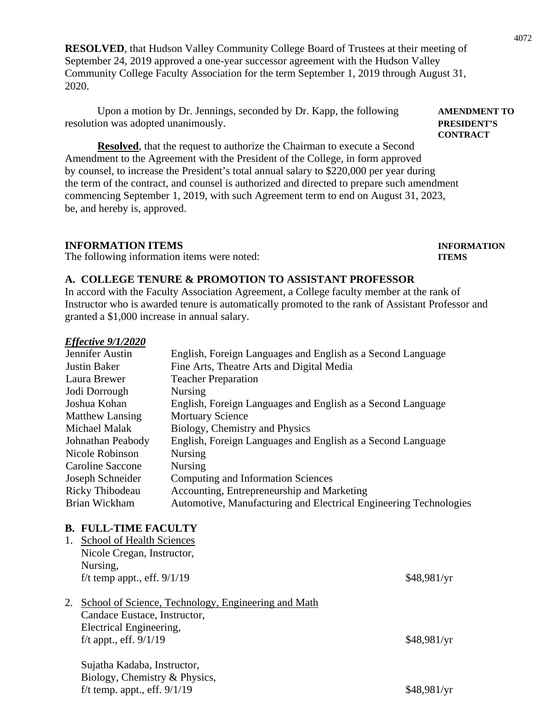**RESOLVED**, that Hudson Valley Community College Board of Trustees at their meeting of September 24, 2019 approved a one-year successor agreement with the Hudson Valley Community College Faculty Association for the term September 1, 2019 through August 31, 2020.

Upon a motion by Dr. Jennings, seconded by Dr. Kapp, the following **AMENDMENT TO** resolution was adopted unanimously. **PRESIDENT'S**

**Resolved**, that the request to authorize the Chairman to execute a Second Amendment to the Agreement with the President of the College, in form approved by counsel, to increase the President's total annual salary to \$220,000 per year during the term of the contract, and counsel is authorized and directed to prepare such amendment commencing September 1, 2019, with such Agreement term to end on August 31, 2023, be, and hereby is, approved.

#### **INFORMATION ITEMS INFORMATION**

The following information items were noted: **ITEMS**

#### **A. COLLEGE TENURE & PROMOTION TO ASSISTANT PROFESSOR**

In accord with the Faculty Association Agreement, a College faculty member at the rank of Instructor who is awarded tenure is automatically promoted to the rank of Assistant Professor and granted a \$1,000 increase in annual salary.

#### *Effective 9/1/2020*

| Jennifer Austin      | English, Foreign Languages and English as a Second Language       |
|----------------------|-------------------------------------------------------------------|
| Justin Baker         | Fine Arts, Theatre Arts and Digital Media                         |
| Laura Brewer         | <b>Teacher Preparation</b>                                        |
| Jodi Dorrough        | <b>Nursing</b>                                                    |
| Joshua Kohan         | English, Foreign Languages and English as a Second Language       |
| Matthew Lansing      | <b>Mortuary Science</b>                                           |
| <b>Michael Malak</b> | Biology, Chemistry and Physics                                    |
| Johnathan Peabody    | English, Foreign Languages and English as a Second Language       |
| Nicole Robinson      | <b>Nursing</b>                                                    |
| Caroline Saccone     | <b>Nursing</b>                                                    |
| Joseph Schneider     | Computing and Information Sciences                                |
| Ricky Thibodeau      | Accounting, Entrepreneurship and Marketing                        |
| Brian Wickham        | Automotive, Manufacturing and Electrical Engineering Technologies |

#### **B. FULL-TIME FACULTY**

| 1. | <b>School of Health Sciences</b>                    |             |
|----|-----------------------------------------------------|-------------|
|    | Nicole Cregan, Instructor,                          |             |
|    | Nursing,                                            |             |
|    | f/t temp appt., eff. $9/1/19$                       | \$48,981/yr |
| 2. | School of Science, Technology, Engineering and Math |             |
|    | Candace Eustace, Instructor,                        |             |
|    | Electrical Engineering,                             |             |
|    | f/t appt., eff. $9/1/19$                            | \$48,981/yr |
|    | Sujatha Kadaba, Instructor,                         |             |
|    | Biology Chamistry & Dhysics                         |             |

## Biology, Chemistry & Physics, f/t temp. appt., eff.  $9/1/19$  \$48,981/yr

**CONTRACT**

4072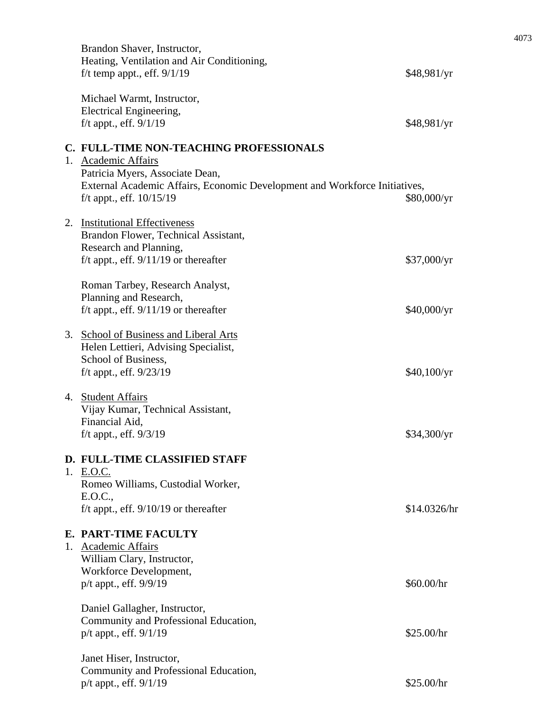| Brandon Shaver, Instructor,<br>Heating, Ventilation and Air Conditioning,<br>f/t temp appt., eff. $9/1/19$                                  | \$48,981/yr  |
|---------------------------------------------------------------------------------------------------------------------------------------------|--------------|
| Michael Warmt, Instructor,<br>Electrical Engineering,<br>f/t appt., eff. $9/1/19$                                                           | \$48,981/yr  |
| C. FULL-TIME NON-TEACHING PROFESSIONALS<br>1. Academic Affairs                                                                              |              |
| Patricia Myers, Associate Dean,<br>External Academic Affairs, Economic Development and Workforce Initiatives,<br>f/t appt., eff. $10/15/19$ | \$80,000/yr  |
| 2. Institutional Effectiveness<br>Brandon Flower, Technical Assistant,<br>Research and Planning,                                            |              |
| f/t appt., eff. $9/11/19$ or thereafter                                                                                                     | \$37,000/yr  |
| Roman Tarbey, Research Analyst,<br>Planning and Research,<br>f/t appt., eff. $9/11/19$ or thereafter                                        | \$40,000/yr  |
| 3. School of Business and Liberal Arts<br>Helen Lettieri, Advising Specialist,<br>School of Business,<br>f/t appt., eff. $9/23/19$          | \$40,100/yr  |
| 4. Student Affairs<br>Vijay Kumar, Technical Assistant,<br>Financial Aid,<br>$f/t$ appt., eff. $9/3/19$                                     | \$34,300/yr  |
| D. FULL-TIME CLASSIFIED STAFF<br>1. E.O.C.<br>Romeo Williams, Custodial Worker,<br>E.O.C.,<br>f/t appt., eff. $9/10/19$ or thereafter       | \$14.0326/hr |
| E. PART-TIME FACULTY<br>1. Academic Affairs<br>William Clary, Instructor,<br>Workforce Development,                                         |              |
| p/t appt., eff. 9/9/19                                                                                                                      | \$60.00/hr   |
| Daniel Gallagher, Instructor,<br>Community and Professional Education,<br>p/t appt., eff. 9/1/19                                            | \$25.00/hr   |
| Janet Hiser, Instructor,<br>Community and Professional Education,<br>p/t appt., eff. 9/1/19                                                 | \$25.00/hr   |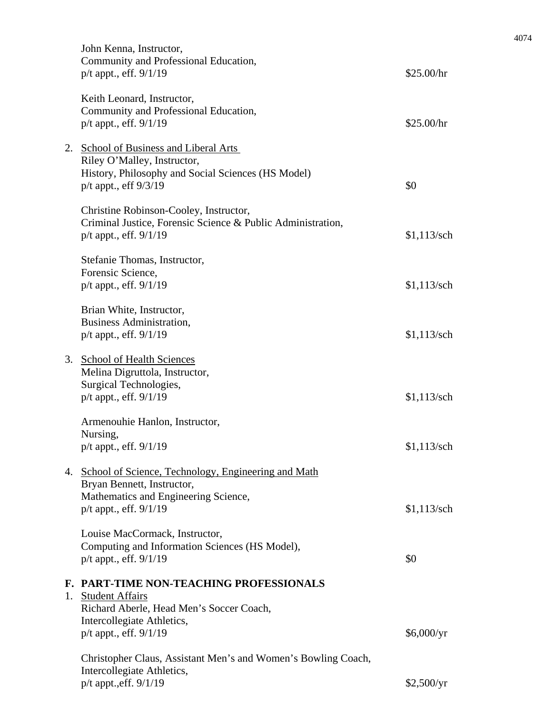|    | John Kenna, Instructor,<br>Community and Professional Education,<br>$p/t$ appt., eff. $9/1/19$                                                                        | \$25.00/hr    |
|----|-----------------------------------------------------------------------------------------------------------------------------------------------------------------------|---------------|
|    | Keith Leonard, Instructor,<br>Community and Professional Education,<br>$p/t$ appt., eff. $9/1/19$                                                                     | \$25.00/hr    |
|    | 2. School of Business and Liberal Arts<br>Riley O'Malley, Instructor,<br>History, Philosophy and Social Sciences (HS Model)<br>$p/t$ appt., eff $9/3/19$              | \$0           |
|    | Christine Robinson-Cooley, Instructor,<br>Criminal Justice, Forensic Science & Public Administration,<br>$p/t$ appt., eff. $9/1/19$                                   | $$1,113$ /sch |
|    | Stefanie Thomas, Instructor,<br>Forensic Science,<br>$p/t$ appt., eff. $9/1/19$                                                                                       | $$1,113$ /sch |
|    | Brian White, Instructor,<br><b>Business Administration,</b><br>p/t appt., eff. 9/1/19                                                                                 | $$1,113$ /sch |
|    | 3. School of Health Sciences<br>Melina Digruttola, Instructor,<br>Surgical Technologies,<br>$p/t$ appt., eff. $9/1/19$                                                | $$1,113$ /sch |
|    | Armenouhie Hanlon, Instructor,<br>Nursing,<br>p/t appt., eff. 9/1/19                                                                                                  | $$1,113$ /sch |
|    | 4. School of Science, Technology, Engineering and Math<br>Bryan Bennett, Instructor,<br>Mathematics and Engineering Science,<br>p/t appt., eff. 9/1/19                | $$1,113$ /sch |
|    | Louise MacCormack, Instructor,<br>Computing and Information Sciences (HS Model),<br>p/t appt., eff. 9/1/19                                                            | \$0           |
| 1. | F. PART-TIME NON-TEACHING PROFESSIONALS<br><b>Student Affairs</b><br>Richard Aberle, Head Men's Soccer Coach,<br>Intercollegiate Athletics,<br>p/t appt., eff. 9/1/19 | \$6,000/yr    |
|    | Christopher Claus, Assistant Men's and Women's Bowling Coach,<br>Intercollegiate Athletics,<br>p/t appt., eff. 9/1/19                                                 | \$2,500/yr    |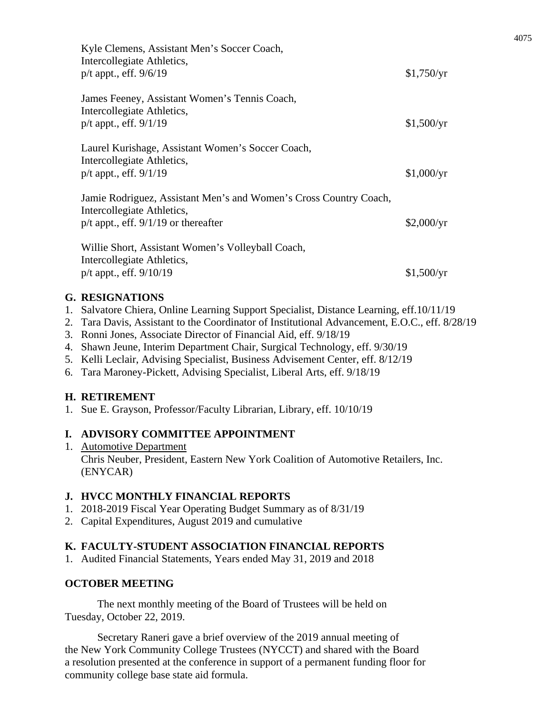| Kyle Clemens, Assistant Men's Soccer Coach,<br>Intercollegiate Athletics,<br>$p/t$ appt., eff. $9/6/19$                                     | \$1,750/yr |
|---------------------------------------------------------------------------------------------------------------------------------------------|------------|
| James Feeney, Assistant Women's Tennis Coach,<br>Intercollegiate Athletics,<br>$p/t$ appt., eff. $9/1/19$                                   | \$1,500/yr |
| Laurel Kurishage, Assistant Women's Soccer Coach,<br>Intercollegiate Athletics,<br>$p/t$ appt., eff. $9/1/19$                               | \$1,000/yr |
| Jamie Rodriguez, Assistant Men's and Women's Cross Country Coach,<br>Intercollegiate Athletics,<br>$p/t$ appt., eff. $9/1/19$ or thereafter | \$2,000/yr |
| Willie Short, Assistant Women's Volleyball Coach,<br>Intercollegiate Athletics,<br>p/t appt., eff. 9/10/19                                  | \$1,500/yr |

## **G. RESIGNATIONS**

- 1. Salvatore Chiera, Online Learning Support Specialist, Distance Learning, eff.10/11/19
- 2. Tara Davis, Assistant to the Coordinator of Institutional Advancement, E.O.C., eff. 8/28/19
- 3. Ronni Jones, Associate Director of Financial Aid, eff. 9/18/19
- 4. Shawn Jeune, Interim Department Chair, Surgical Technology, eff. 9/30/19
- 5. Kelli Leclair, Advising Specialist, Business Advisement Center, eff. 8/12/19
- 6. Tara Maroney-Pickett, Advising Specialist, Liberal Arts, eff. 9/18/19

## **H. RETIREMENT**

1. Sue E. Grayson, Professor/Faculty Librarian, Library, eff. 10/10/19

## **I. ADVISORY COMMITTEE APPOINTMENT**

1. Automotive Department Chris Neuber, President, Eastern New York Coalition of Automotive Retailers, Inc. (ENYCAR)

## **J. HVCC MONTHLY FINANCIAL REPORTS**

- 1. 2018-2019 Fiscal Year Operating Budget Summary as of 8/31/19
- 2. Capital Expenditures, August 2019 and cumulative

## **K. FACULTY-STUDENT ASSOCIATION FINANCIAL REPORTS**

1. Audited Financial Statements, Years ended May 31, 2019 and 2018

## **OCTOBER MEETING**

The next monthly meeting of the Board of Trustees will be held on Tuesday, October 22, 2019.

Secretary Raneri gave a brief overview of the 2019 annual meeting of the New York Community College Trustees (NYCCT) and shared with the Board a resolution presented at the conference in support of a permanent funding floor for community college base state aid formula.